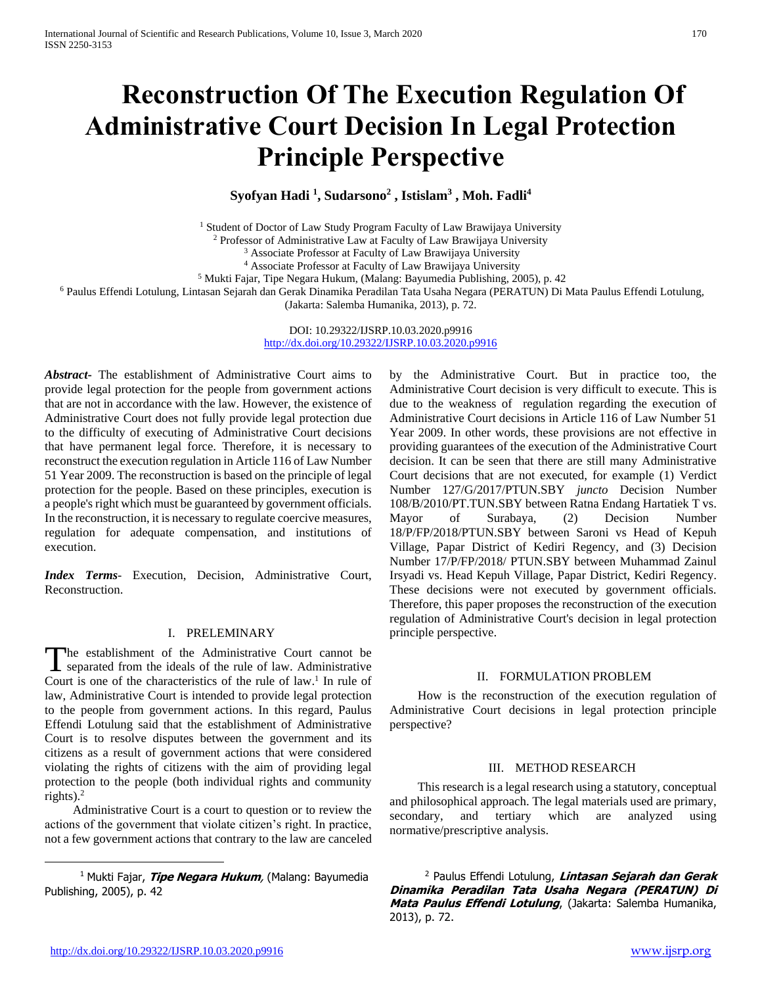# **Reconstruction Of The Execution Regulation Of Administrative Court Decision In Legal Protection Principle Perspective**

# **Syofyan Hadi <sup>1</sup> , Sudarsono<sup>2</sup> , Istislam<sup>3</sup> , Moh. Fadli<sup>4</sup>**

<sup>1</sup> Student of Doctor of Law Study Program Faculty of Law Brawijaya University

<sup>2</sup> Professor of Administrative Law at Faculty of Law Brawijaya University

<sup>3</sup> Associate Professor at Faculty of Law Brawijaya University

<sup>4</sup> Associate Professor at Faculty of Law Brawijaya University

<sup>5</sup> Mukti Fajar, Tipe Negara Hukum, (Malang: Bayumedia Publishing, 2005), p. 42

<sup>6</sup> Paulus Effendi Lotulung, Lintasan Sejarah dan Gerak Dinamika Peradilan Tata Usaha Negara (PERATUN) Di Mata Paulus Effendi Lotulung,

(Jakarta: Salemba Humanika, 2013), p. 72.

DOI: 10.29322/IJSRP.10.03.2020.p9916 <http://dx.doi.org/10.29322/IJSRP.10.03.2020.p9916>

*Abstract***-** The establishment of Administrative Court aims to provide legal protection for the people from government actions that are not in accordance with the law. However, the existence of Administrative Court does not fully provide legal protection due to the difficulty of executing of Administrative Court decisions that have permanent legal force. Therefore, it is necessary to reconstruct the execution regulation in Article 116 of Law Number 51 Year 2009. The reconstruction is based on the principle of legal protection for the people. Based on these principles, execution is a people's right which must be guaranteed by government officials. In the reconstruction, it is necessary to regulate coercive measures, regulation for adequate compensation, and institutions of execution.

*Index Terms*- Execution, Decision, Administrative Court, Reconstruction.

### I. PRELEMINARY

he establishment of the Administrative Court cannot be The establishment of the Administrative Court cannot be separated from the ideals of the rule of law. Administrative Court is one of the characteristics of the rule of law. 1 In rule of law, Administrative Court is intended to provide legal protection to the people from government actions. In this regard, Paulus Effendi Lotulung said that the establishment of Administrative Court is to resolve disputes between the government and its citizens as a result of government actions that were considered violating the rights of citizens with the aim of providing legal protection to the people (both individual rights and community rights). $2$ 

 Administrative Court is a court to question or to review the actions of the government that violate citizen's right. In practice, not a few government actions that contrary to the law are canceled

<sup>1</sup> Mukti Fajar, **Tipe Negara Hukum**, (Malang: Bayumedia Publishing, 2005), p. 42

by the Administrative Court. But in practice too, the Administrative Court decision is very difficult to execute. This is due to the weakness of regulation regarding the execution of Administrative Court decisions in Article 116 of Law Number 51 Year 2009. In other words, these provisions are not effective in providing guarantees of the execution of the Administrative Court decision. It can be seen that there are still many Administrative Court decisions that are not executed, for example (1) Verdict Number 127/G/2017/PTUN.SBY *juncto* Decision Number 108/B/2010/PT.TUN.SBY between Ratna Endang Hartatiek T vs. Mayor of Surabaya, (2) Decision Number 18/P/FP/2018/PTUN.SBY between Saroni vs Head of Kepuh Village, Papar District of Kediri Regency, and (3) Decision Number 17/P/FP/2018/ PTUN.SBY between Muhammad Zainul Irsyadi vs. Head Kepuh Village, Papar District, Kediri Regency. These decisions were not executed by government officials. Therefore, this paper proposes the reconstruction of the execution regulation of Administrative Court's decision in legal protection principle perspective.

### II. FORMULATION PROBLEM

 How is the reconstruction of the execution regulation of Administrative Court decisions in legal protection principle perspective?

### III. METHOD RESEARCH

 This research is a legal research using a statutory, conceptual and philosophical approach. The legal materials used are primary, secondary, and tertiary which are analyzed using normative/prescriptive analysis.

<sup>2</sup> Paulus Effendi Lotulung, **Lintasan Sejarah dan Gerak Dinamika Peradilan Tata Usaha Negara (PERATUN) Di Mata Paulus Effendi Lotulung**, (Jakarta: Salemba Humanika, 2013), p. 72.

 $\overline{a}$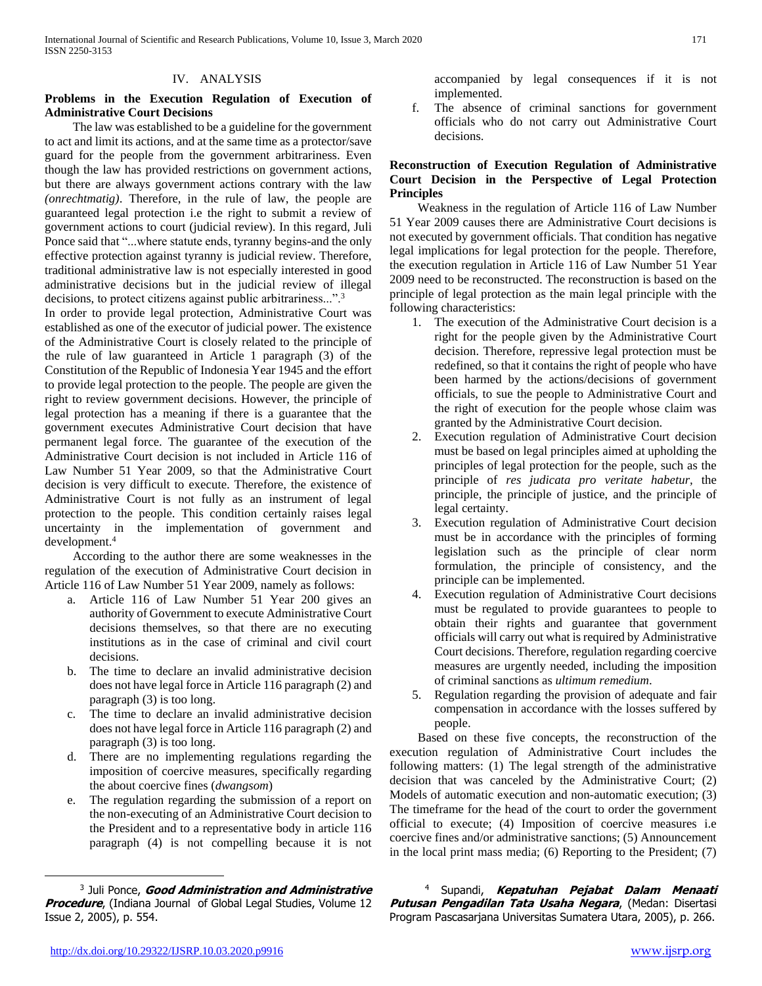#### IV. ANALYSIS

## **Problems in the Execution Regulation of Execution of Administrative Court Decisions**

 The law was established to be a guideline for the government to act and limit its actions, and at the same time as a protector/save guard for the people from the government arbitrariness. Even though the law has provided restrictions on government actions, but there are always government actions contrary with the law *(onrechtmatig)*. Therefore, in the rule of law, the people are guaranteed legal protection i.e the right to submit a review of government actions to court (judicial review). In this regard, Juli Ponce said that "...where statute ends, tyranny begins-and the only effective protection against tyranny is judicial review. Therefore, traditional administrative law is not especially interested in good administrative decisions but in the judicial review of illegal decisions, to protect citizens against public arbitrariness..."<sup>3</sup>

In order to provide legal protection, Administrative Court was established as one of the executor of judicial power. The existence of the Administrative Court is closely related to the principle of the rule of law guaranteed in Article 1 paragraph (3) of the Constitution of the Republic of Indonesia Year 1945 and the effort to provide legal protection to the people. The people are given the right to review government decisions. However, the principle of legal protection has a meaning if there is a guarantee that the government executes Administrative Court decision that have permanent legal force. The guarantee of the execution of the Administrative Court decision is not included in Article 116 of Law Number 51 Year 2009, so that the Administrative Court decision is very difficult to execute. Therefore, the existence of Administrative Court is not fully as an instrument of legal protection to the people. This condition certainly raises legal uncertainty in the implementation of government and development.<sup>4</sup>

 According to the author there are some weaknesses in the regulation of the execution of Administrative Court decision in Article 116 of Law Number 51 Year 2009, namely as follows:

- a. Article 116 of Law Number 51 Year 200 gives an authority of Government to execute Administrative Court decisions themselves, so that there are no executing institutions as in the case of criminal and civil court decisions.
- b. The time to declare an invalid administrative decision does not have legal force in Article 116 paragraph (2) and paragraph (3) is too long.
- c. The time to declare an invalid administrative decision does not have legal force in Article 116 paragraph (2) and paragraph (3) is too long.
- d. There are no implementing regulations regarding the imposition of coercive measures, specifically regarding the about coercive fines (*dwangsom*)
- e. The regulation regarding the submission of a report on the non-executing of an Administrative Court decision to the President and to a representative body in article 116 paragraph (4) is not compelling because it is not

3 Juli Ponce, **Good Administration and Administrative Procedure**, (Indiana Journal of Global Legal Studies, Volume 12 Issue 2, 2005), p. 554.

accompanied by legal consequences if it is not implemented.

f. The absence of criminal sanctions for government officials who do not carry out Administrative Court decisions.

## **Reconstruction of Execution Regulation of Administrative Court Decision in the Perspective of Legal Protection Principles**

 Weakness in the regulation of Article 116 of Law Number 51 Year 2009 causes there are Administrative Court decisions is not executed by government officials. That condition has negative legal implications for legal protection for the people. Therefore, the execution regulation in Article 116 of Law Number 51 Year 2009 need to be reconstructed. The reconstruction is based on the principle of legal protection as the main legal principle with the following characteristics:

- 1. The execution of the Administrative Court decision is a right for the people given by the Administrative Court decision. Therefore, repressive legal protection must be redefined, so that it contains the right of people who have been harmed by the actions/decisions of government officials, to sue the people to Administrative Court and the right of execution for the people whose claim was granted by the Administrative Court decision.
- 2. Execution regulation of Administrative Court decision must be based on legal principles aimed at upholding the principles of legal protection for the people, such as the principle of *res judicata pro veritate habetur,* the principle, the principle of justice, and the principle of legal certainty.
- 3. Execution regulation of Administrative Court decision must be in accordance with the principles of forming legislation such as the principle of clear norm formulation, the principle of consistency, and the principle can be implemented.
- Execution regulation of Administrative Court decisions must be regulated to provide guarantees to people to obtain their rights and guarantee that government officials will carry out what is required by Administrative Court decisions. Therefore, regulation regarding coercive measures are urgently needed, including the imposition of criminal sanctions as *ultimum remedium*.
- 5. Regulation regarding the provision of adequate and fair compensation in accordance with the losses suffered by people.

 Based on these five concepts, the reconstruction of the execution regulation of Administrative Court includes the following matters: (1) The legal strength of the administrative decision that was canceled by the Administrative Court; (2) Models of automatic execution and non-automatic execution; (3) The timeframe for the head of the court to order the government official to execute; (4) Imposition of coercive measures i.e coercive fines and/or administrative sanctions; (5) Announcement in the local print mass media; (6) Reporting to the President; (7)

<sup>4</sup> Supandi, **Kepatuhan Pejabat Dalam Menaati Putusan Pengadilan Tata Usaha Negara**, (Medan: Disertasi Program Pascasarjana Universitas Sumatera Utara, 2005), p. 266.

 $\overline{a}$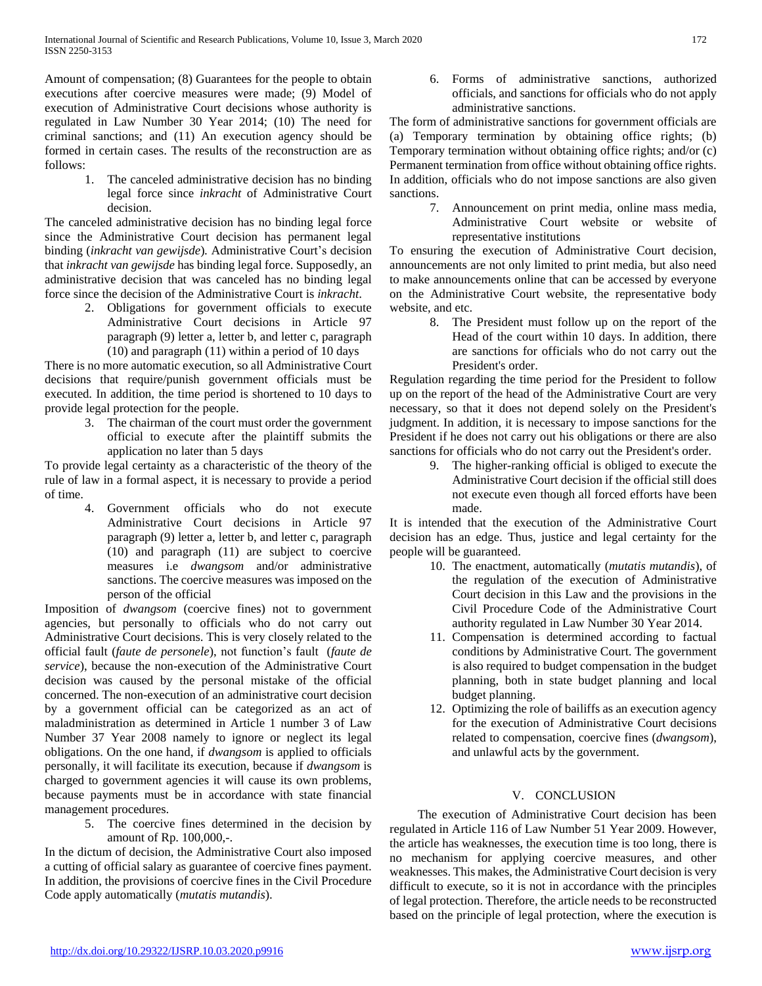Amount of compensation; (8) Guarantees for the people to obtain executions after coercive measures were made; (9) Model of execution of Administrative Court decisions whose authority is regulated in Law Number 30 Year 2014; (10) The need for criminal sanctions; and (11) An execution agency should be formed in certain cases. The results of the reconstruction are as follows:

1. The canceled administrative decision has no binding legal force since *inkracht* of Administrative Court decision.

The canceled administrative decision has no binding legal force since the Administrative Court decision has permanent legal binding (*inkracht van gewijsde*)*.* Administrative Court's decision that *inkracht van gewijsde* has binding legal force. Supposedly, an administrative decision that was canceled has no binding legal force since the decision of the Administrative Court is *inkracht*.

2. Obligations for government officials to execute Administrative Court decisions in Article 97 paragraph (9) letter a, letter b, and letter c, paragraph (10) and paragraph (11) within a period of 10 days

There is no more automatic execution, so all Administrative Court decisions that require/punish government officials must be executed. In addition, the time period is shortened to 10 days to provide legal protection for the people.

> 3. The chairman of the court must order the government official to execute after the plaintiff submits the application no later than 5 days

To provide legal certainty as a characteristic of the theory of the rule of law in a formal aspect, it is necessary to provide a period of time.

4. Government officials who do not execute Administrative Court decisions in Article 97 paragraph (9) letter a, letter b, and letter c, paragraph (10) and paragraph (11) are subject to coercive measures i.e *dwangsom* and/or administrative sanctions. The coercive measures was imposed on the person of the official

Imposition of *dwangsom* (coercive fines) not to government agencies, but personally to officials who do not carry out Administrative Court decisions. This is very closely related to the official fault (*faute de personele*), not function's fault (*faute de service*), because the non-execution of the Administrative Court decision was caused by the personal mistake of the official concerned. The non-execution of an administrative court decision by a government official can be categorized as an act of maladministration as determined in Article 1 number 3 of Law Number 37 Year 2008 namely to ignore or neglect its legal obligations. On the one hand, if *dwangsom* is applied to officials personally, it will facilitate its execution, because if *dwangsom* is charged to government agencies it will cause its own problems, because payments must be in accordance with state financial management procedures.

5. The coercive fines determined in the decision by amount of Rp. 100,000,-.

In the dictum of decision, the Administrative Court also imposed a cutting of official salary as guarantee of coercive fines payment. In addition, the provisions of coercive fines in the Civil Procedure Code apply automatically (*mutatis mutandis*).

6. Forms of administrative sanctions, authorized officials, and sanctions for officials who do not apply administrative sanctions.

The form of administrative sanctions for government officials are (a) Temporary termination by obtaining office rights; (b) Temporary termination without obtaining office rights; and/or (c) Permanent termination from office without obtaining office rights. In addition, officials who do not impose sanctions are also given sanctions.

> 7. Announcement on print media, online mass media, Administrative Court website or website of representative institutions

To ensuring the execution of Administrative Court decision, announcements are not only limited to print media, but also need to make announcements online that can be accessed by everyone on the Administrative Court website, the representative body website, and etc.

8. The President must follow up on the report of the Head of the court within 10 days. In addition, there are sanctions for officials who do not carry out the President's order.

Regulation regarding the time period for the President to follow up on the report of the head of the Administrative Court are very necessary, so that it does not depend solely on the President's judgment. In addition, it is necessary to impose sanctions for the President if he does not carry out his obligations or there are also sanctions for officials who do not carry out the President's order.

9. The higher-ranking official is obliged to execute the Administrative Court decision if the official still does not execute even though all forced efforts have been made.

It is intended that the execution of the Administrative Court decision has an edge. Thus, justice and legal certainty for the people will be guaranteed.

- 10. The enactment, automatically (*mutatis mutandis*), of the regulation of the execution of Administrative Court decision in this Law and the provisions in the Civil Procedure Code of the Administrative Court authority regulated in Law Number 30 Year 2014.
- 11. Compensation is determined according to factual conditions by Administrative Court. The government is also required to budget compensation in the budget planning, both in state budget planning and local budget planning.
- 12. Optimizing the role of bailiffs as an execution agency for the execution of Administrative Court decisions related to compensation, coercive fines (*dwangsom*), and unlawful acts by the government.

# V. CONCLUSION

 The execution of Administrative Court decision has been regulated in Article 116 of Law Number 51 Year 2009. However, the article has weaknesses, the execution time is too long, there is no mechanism for applying coercive measures, and other weaknesses. This makes, the Administrative Court decision is very difficult to execute, so it is not in accordance with the principles of legal protection. Therefore, the article needs to be reconstructed based on the principle of legal protection, where the execution is